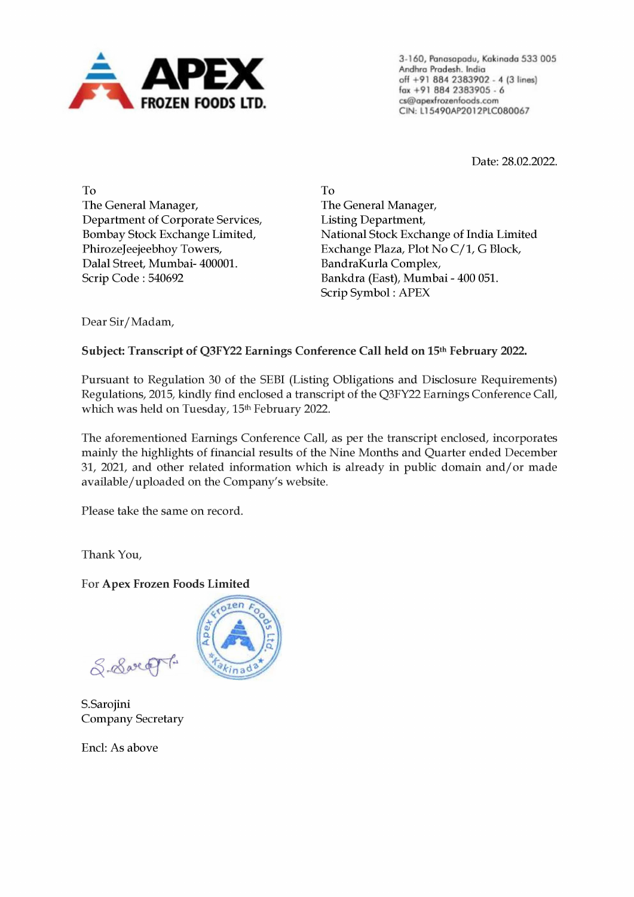

3-160, Panasapodu, Kakinada 533 005 Andhra Pradesh. India off +91 884 2383902 - 4 (3 lines) fax +91 884 2383905 - 6 cs@apextrozenfoods.com CIN: L15490AP201 2PLCO80067

Date: 28.02.2022.

To The General Manager, Department of Corporate Services, Bombay Stock Exchange Limited, PhirozeJeejeebhoy Towers, Dalal Street, Mumbai- 400001. Scrip Code : 540692

To The General Manager, Listing Department, National Stock Exchange of India Limited Exchange Plaza, Plot No C/1, G Block, BandraKurla Complex, Bankdra (East), Mumbai - 400 051. Scrip Symbol : APEX

Dear Sir/Madam,

Subject: Transcript of Q3FY22 Earnings Conference Call held on 15<sup>th</sup> February 2022.

Pursuant to Regulation 30 of the SEBI (Listing Obligations and Disclosure Requirements) Regulations, 2015, kindly find enclosed a transcript of the Q3FY22 Earnings Conference Call, which was held on Tuesday, 15<sup>th</sup> February 2022.

The aforementioned Earnings Conference Call, as per the transcript enclosed, incorporates mainly the highlights of financial results of the Nine Months and Quarter ended December 31, 2021, and other related information which is already in public domain and/or made available/uploaded on the Company's website.

Please take the same on record.

Thank You,

For Apex Frozen Foods Limited

 $ten$ 

S. Sweet

S.Sarojini Company Secretary

Encl: As above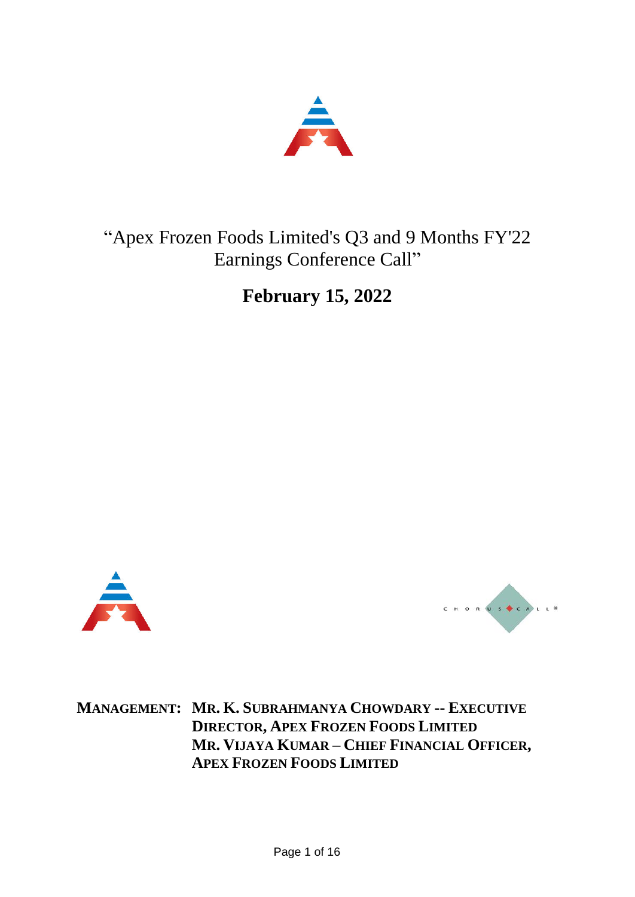

# "Apex Frozen Foods Limited's Q3 and 9 Months FY'22 Earnings Conference Call"

**February 15, 2022**





**MANAGEMENT: MR. K. SUBRAHMANYA CHOWDARY -- EXECUTIVE DIRECTOR, APEX FROZEN FOODS LIMITED MR. VIJAYA KUMAR – CHIEF FINANCIAL OFFICER, APEX FROZEN FOODS LIMITED**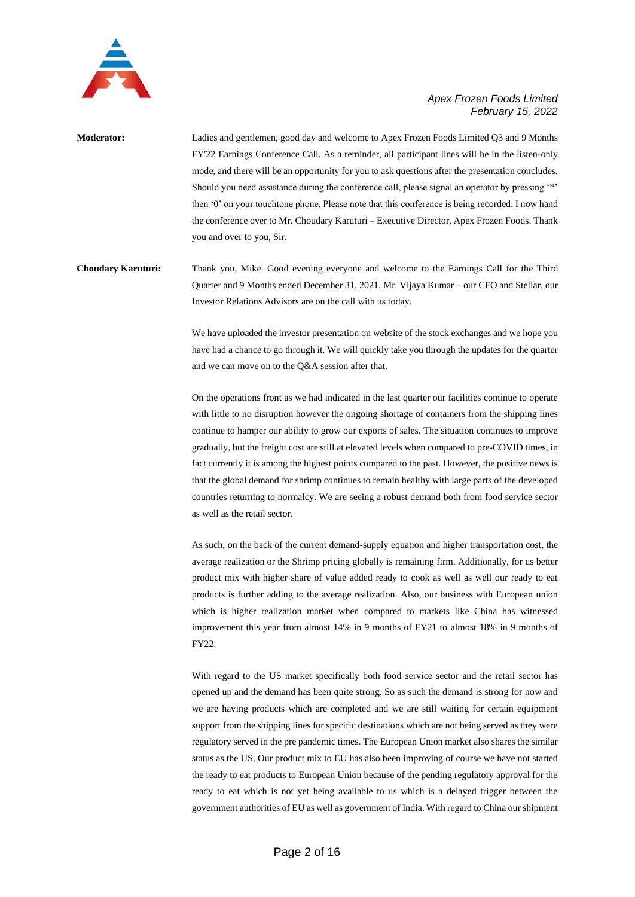

- **Moderator:** Ladies and gentlemen, good day and welcome to Apex Frozen Foods Limited Q3 and 9 Months FY'22 Earnings Conference Call. As a reminder, all participant lines will be in the listen-only mode, and there will be an opportunity for you to ask questions after the presentation concludes. Should you need assistance during the conference call, please signal an operator by pressing '\*' then '0' on your touchtone phone. Please note that this conference is being recorded. I now hand the conference over to Mr. Choudary Karuturi – Executive Director, Apex Frozen Foods. Thank you and over to you, Sir.
- **Choudary Karuturi:** Thank you, Mike. Good evening everyone and welcome to the Earnings Call for the Third Quarter and 9 Months ended December 31, 2021. Mr. Vijaya Kumar – our CFO and Stellar, our Investor Relations Advisors are on the call with us today.

We have uploaded the investor presentation on website of the stock exchanges and we hope you have had a chance to go through it. We will quickly take you through the updates for the quarter and we can move on to the Q&A session after that.

On the operations front as we had indicated in the last quarter our facilities continue to operate with little to no disruption however the ongoing shortage of containers from the shipping lines continue to hamper our ability to grow our exports of sales. The situation continues to improve gradually, but the freight cost are still at elevated levels when compared to pre-COVID times, in fact currently it is among the highest points compared to the past. However, the positive news is that the global demand for shrimp continues to remain healthy with large parts of the developed countries returning to normalcy. We are seeing a robust demand both from food service sector as well as the retail sector.

As such, on the back of the current demand-supply equation and higher transportation cost, the average realization or the Shrimp pricing globally is remaining firm. Additionally, for us better product mix with higher share of value added ready to cook as well as well our ready to eat products is further adding to the average realization. Also, our business with European union which is higher realization market when compared to markets like China has witnessed improvement this year from almost 14% in 9 months of FY21 to almost 18% in 9 months of FY22.

With regard to the US market specifically both food service sector and the retail sector has opened up and the demand has been quite strong. So as such the demand is strong for now and we are having products which are completed and we are still waiting for certain equipment support from the shipping lines for specific destinations which are not being served as they were regulatory served in the pre pandemic times. The European Union market also shares the similar status as the US. Our product mix to EU has also been improving of course we have not started the ready to eat products to European Union because of the pending regulatory approval for the ready to eat which is not yet being available to us which is a delayed trigger between the government authorities of EU as well as government of India. With regard to China our shipment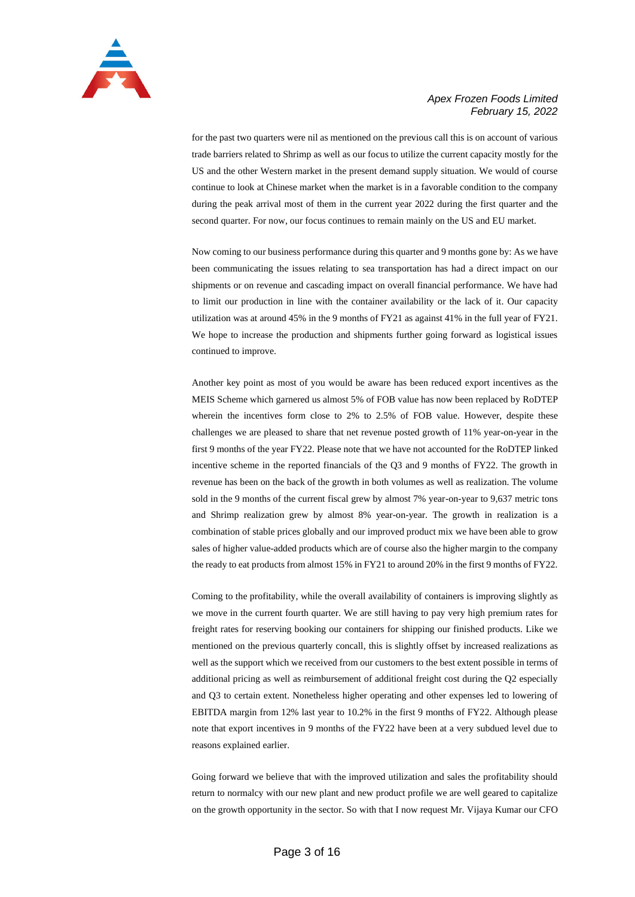

for the past two quarters were nil as mentioned on the previous call this is on account of various trade barriers related to Shrimp as well as our focus to utilize the current capacity mostly for the US and the other Western market in the present demand supply situation. We would of course continue to look at Chinese market when the market is in a favorable condition to the company during the peak arrival most of them in the current year 2022 during the first quarter and the second quarter. For now, our focus continues to remain mainly on the US and EU market.

Now coming to our business performance during this quarter and 9 months gone by: As we have been communicating the issues relating to sea transportation has had a direct impact on our shipments or on revenue and cascading impact on overall financial performance. We have had to limit our production in line with the container availability or the lack of it. Our capacity utilization was at around 45% in the 9 months of FY21 as against 41% in the full year of FY21. We hope to increase the production and shipments further going forward as logistical issues continued to improve.

Another key point as most of you would be aware has been reduced export incentives as the MEIS Scheme which garnered us almost 5% of FOB value has now been replaced by RoDTEP wherein the incentives form close to 2% to 2.5% of FOB value. However, despite these challenges we are pleased to share that net revenue posted growth of 11% year-on-year in the first 9 months of the year FY22. Please note that we have not accounted for the RoDTEP linked incentive scheme in the reported financials of the Q3 and 9 months of FY22. The growth in revenue has been on the back of the growth in both volumes as well as realization. The volume sold in the 9 months of the current fiscal grew by almost 7% year-on-year to 9,637 metric tons and Shrimp realization grew by almost 8% year-on-year. The growth in realization is a combination of stable prices globally and our improved product mix we have been able to grow sales of higher value-added products which are of course also the higher margin to the company the ready to eat products from almost 15% in FY21 to around 20% in the first 9 months of FY22.

Coming to the profitability, while the overall availability of containers is improving slightly as we move in the current fourth quarter. We are still having to pay very high premium rates for freight rates for reserving booking our containers for shipping our finished products. Like we mentioned on the previous quarterly concall, this is slightly offset by increased realizations as well as the support which we received from our customers to the best extent possible in terms of additional pricing as well as reimbursement of additional freight cost during the Q2 especially and Q3 to certain extent. Nonetheless higher operating and other expenses led to lowering of EBITDA margin from 12% last year to 10.2% in the first 9 months of FY22. Although please note that export incentives in 9 months of the FY22 have been at a very subdued level due to reasons explained earlier.

Going forward we believe that with the improved utilization and sales the profitability should return to normalcy with our new plant and new product profile we are well geared to capitalize on the growth opportunity in the sector. So with that I now request Mr. Vijaya Kumar our CFO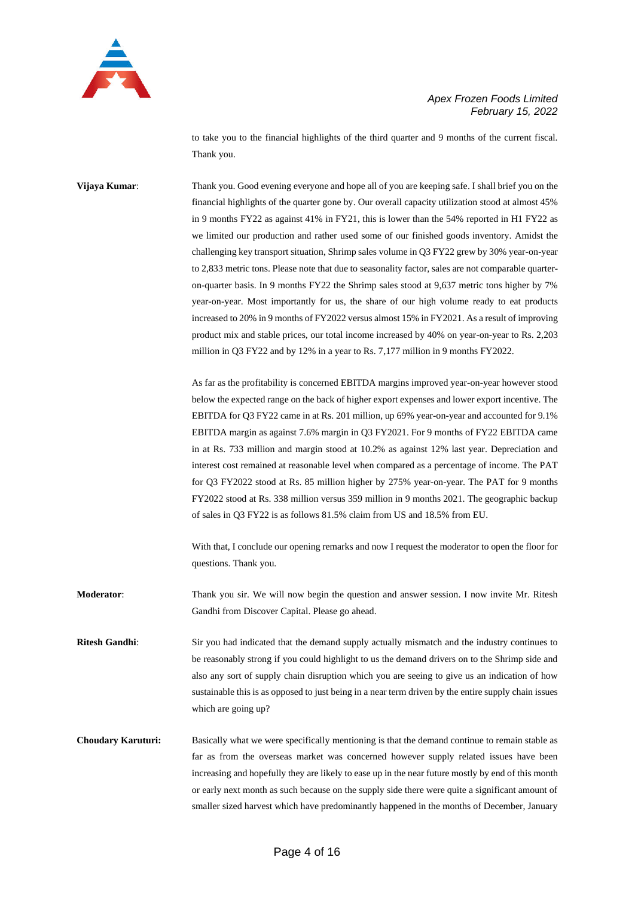

to take you to the financial highlights of the third quarter and 9 months of the current fiscal. Thank you.

**Vijaya Kumar**: Thank you. Good evening everyone and hope all of you are keeping safe. I shall brief you on the financial highlights of the quarter gone by. Our overall capacity utilization stood at almost 45% in 9 months FY22 as against 41% in FY21, this is lower than the 54% reported in H1 FY22 as we limited our production and rather used some of our finished goods inventory. Amidst the challenging key transport situation, Shrimp sales volume in Q3 FY22 grew by 30% year-on-year to 2,833 metric tons. Please note that due to seasonality factor, sales are not comparable quarteron-quarter basis. In 9 months FY22 the Shrimp sales stood at 9,637 metric tons higher by 7% year-on-year. Most importantly for us, the share of our high volume ready to eat products increased to 20% in 9 months of FY2022 versus almost 15% in FY2021. As a result of improving product mix and stable prices, our total income increased by 40% on year-on-year to Rs. 2,203 million in Q3 FY22 and by 12% in a year to Rs. 7,177 million in 9 months FY2022.

> As far as the profitability is concerned EBITDA margins improved year-on-year however stood below the expected range on the back of higher export expenses and lower export incentive. The EBITDA for Q3 FY22 came in at Rs. 201 million, up 69% year-on-year and accounted for 9.1% EBITDA margin as against 7.6% margin in Q3 FY2021. For 9 months of FY22 EBITDA came in at Rs. 733 million and margin stood at 10.2% as against 12% last year. Depreciation and interest cost remained at reasonable level when compared as a percentage of income. The PAT for Q3 FY2022 stood at Rs. 85 million higher by 275% year-on-year. The PAT for 9 months FY2022 stood at Rs. 338 million versus 359 million in 9 months 2021. The geographic backup of sales in Q3 FY22 is as follows 81.5% claim from US and 18.5% from EU.

> With that, I conclude our opening remarks and now I request the moderator to open the floor for questions. Thank you.

**Moderator**: Thank you sir. We will now begin the question and answer session. I now invite Mr. Ritesh Gandhi from Discover Capital. Please go ahead.

**Ritesh Gandhi**: Sir you had indicated that the demand supply actually mismatch and the industry continues to be reasonably strong if you could highlight to us the demand drivers on to the Shrimp side and also any sort of supply chain disruption which you are seeing to give us an indication of how sustainable this is as opposed to just being in a near term driven by the entire supply chain issues which are going up?

**Choudary Karuturi:** Basically what we were specifically mentioning is that the demand continue to remain stable as far as from the overseas market was concerned however supply related issues have been increasing and hopefully they are likely to ease up in the near future mostly by end of this month or early next month as such because on the supply side there were quite a significant amount of smaller sized harvest which have predominantly happened in the months of December, January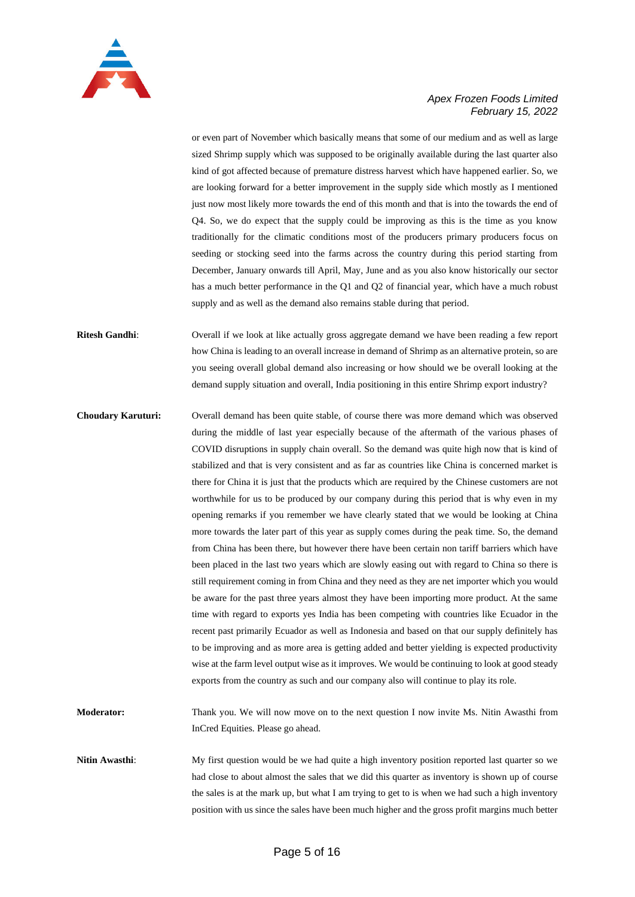

or even part of November which basically means that some of our medium and as well as large sized Shrimp supply which was supposed to be originally available during the last quarter also kind of got affected because of premature distress harvest which have happened earlier. So, we are looking forward for a better improvement in the supply side which mostly as I mentioned just now most likely more towards the end of this month and that is into the towards the end of Q4. So, we do expect that the supply could be improving as this is the time as you know traditionally for the climatic conditions most of the producers primary producers focus on seeding or stocking seed into the farms across the country during this period starting from December, January onwards till April, May, June and as you also know historically our sector has a much better performance in the Q1 and Q2 of financial year, which have a much robust supply and as well as the demand also remains stable during that period.

**Ritesh Gandhi:** Overall if we look at like actually gross aggregate demand we have been reading a few report how China is leading to an overall increase in demand of Shrimp as an alternative protein, so are you seeing overall global demand also increasing or how should we be overall looking at the demand supply situation and overall, India positioning in this entire Shrimp export industry?

**Choudary Karuturi:** Overall demand has been quite stable, of course there was more demand which was observed during the middle of last year especially because of the aftermath of the various phases of COVID disruptions in supply chain overall. So the demand was quite high now that is kind of stabilized and that is very consistent and as far as countries like China is concerned market is there for China it is just that the products which are required by the Chinese customers are not worthwhile for us to be produced by our company during this period that is why even in my opening remarks if you remember we have clearly stated that we would be looking at China more towards the later part of this year as supply comes during the peak time. So, the demand from China has been there, but however there have been certain non tariff barriers which have been placed in the last two years which are slowly easing out with regard to China so there is still requirement coming in from China and they need as they are net importer which you would be aware for the past three years almost they have been importing more product. At the same time with regard to exports yes India has been competing with countries like Ecuador in the recent past primarily Ecuador as well as Indonesia and based on that our supply definitely has to be improving and as more area is getting added and better yielding is expected productivity wise at the farm level output wise as it improves. We would be continuing to look at good steady exports from the country as such and our company also will continue to play its role.

**Moderator:** Thank you. We will now move on to the next question I now invite Ms. Nitin Awasthi from InCred Equities. Please go ahead.

**Nitin Awasthi**: My first question would be we had quite a high inventory position reported last quarter so we had close to about almost the sales that we did this quarter as inventory is shown up of course the sales is at the mark up, but what I am trying to get to is when we had such a high inventory position with us since the sales have been much higher and the gross profit margins much better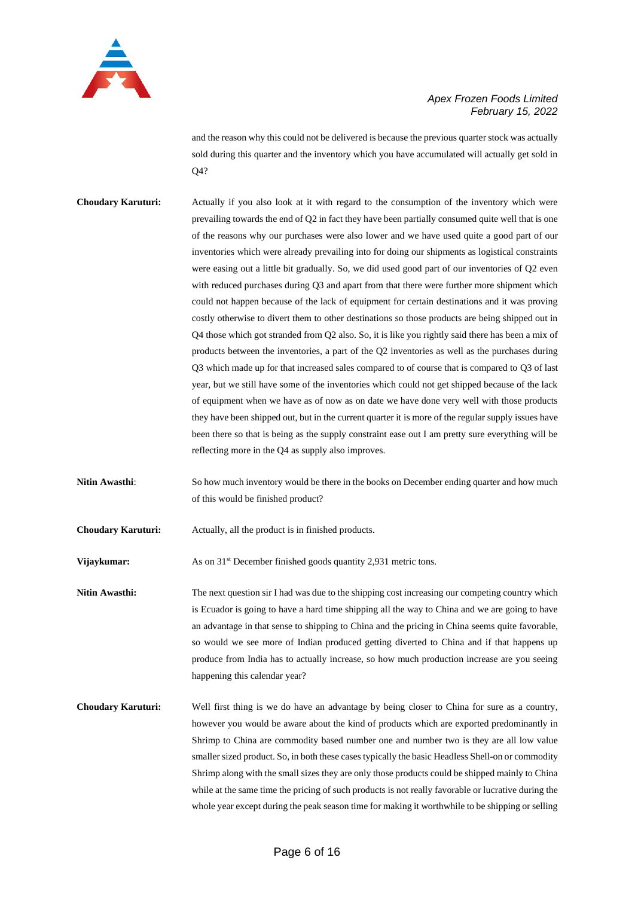

and the reason why this could not be delivered is because the previous quarter stock was actually sold during this quarter and the inventory which you have accumulated will actually get sold in O<sub>4</sub>?

- **Choudary Karuturi:** Actually if you also look at it with regard to the consumption of the inventory which were prevailing towards the end of Q2 in fact they have been partially consumed quite well that is one of the reasons why our purchases were also lower and we have used quite a good part of our inventories which were already prevailing into for doing our shipments as logistical constraints were easing out a little bit gradually. So, we did used good part of our inventories of Q2 even with reduced purchases during Q3 and apart from that there were further more shipment which could not happen because of the lack of equipment for certain destinations and it was proving costly otherwise to divert them to other destinations so those products are being shipped out in Q4 those which got stranded from Q2 also. So, it is like you rightly said there has been a mix of products between the inventories, a part of the Q2 inventories as well as the purchases during Q3 which made up for that increased sales compared to of course that is compared to Q3 of last year, but we still have some of the inventories which could not get shipped because of the lack of equipment when we have as of now as on date we have done very well with those products they have been shipped out, but in the current quarter it is more of the regular supply issues have been there so that is being as the supply constraint ease out I am pretty sure everything will be reflecting more in the Q4 as supply also improves.
- **Nitin Awasthi:** So how much inventory would be there in the books on December ending quarter and how much of this would be finished product?
- **Choudary Karuturi:** Actually, all the product is in finished products.
- **Vijaykumar:** As on 31<sup>st</sup> December finished goods quantity 2,931 metric tons.
- **Nitin Awasthi:** The next question sir I had was due to the shipping cost increasing our competing country which is Ecuador is going to have a hard time shipping all the way to China and we are going to have an advantage in that sense to shipping to China and the pricing in China seems quite favorable, so would we see more of Indian produced getting diverted to China and if that happens up produce from India has to actually increase, so how much production increase are you seeing happening this calendar year?
- **Choudary Karuturi:** Well first thing is we do have an advantage by being closer to China for sure as a country, however you would be aware about the kind of products which are exported predominantly in Shrimp to China are commodity based number one and number two is they are all low value smaller sized product. So, in both these cases typically the basic Headless Shell-on or commodity Shrimp along with the small sizes they are only those products could be shipped mainly to China while at the same time the pricing of such products is not really favorable or lucrative during the whole year except during the peak season time for making it worthwhile to be shipping or selling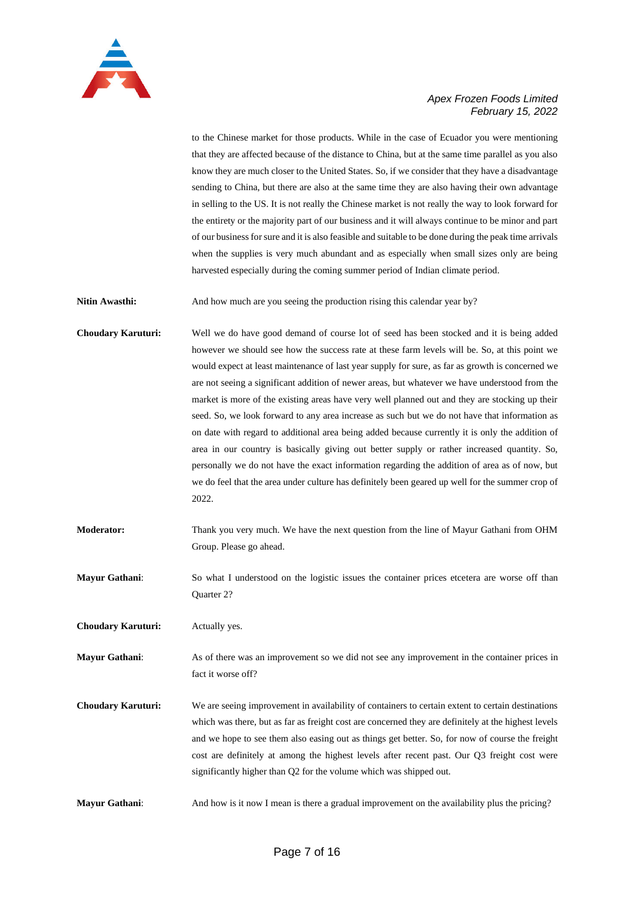

to the Chinese market for those products. While in the case of Ecuador you were mentioning that they are affected because of the distance to China, but at the same time parallel as you also know they are much closer to the United States. So, if we consider that they have a disadvantage sending to China, but there are also at the same time they are also having their own advantage in selling to the US. It is not really the Chinese market is not really the way to look forward for the entirety or the majority part of our business and it will always continue to be minor and part of our business for sure and it is also feasible and suitable to be done during the peak time arrivals when the supplies is very much abundant and as especially when small sizes only are being harvested especially during the coming summer period of Indian climate period.

Nitin Awasthi: And how much are you seeing the production rising this calendar year by?

**Choudary Karuturi:** Well we do have good demand of course lot of seed has been stocked and it is being added however we should see how the success rate at these farm levels will be. So, at this point we would expect at least maintenance of last year supply for sure, as far as growth is concerned we are not seeing a significant addition of newer areas, but whatever we have understood from the market is more of the existing areas have very well planned out and they are stocking up their seed. So, we look forward to any area increase as such but we do not have that information as on date with regard to additional area being added because currently it is only the addition of area in our country is basically giving out better supply or rather increased quantity. So, personally we do not have the exact information regarding the addition of area as of now, but we do feel that the area under culture has definitely been geared up well for the summer crop of 2022.

- **Moderator:** Thank you very much. We have the next question from the line of Mayur Gathani from OHM Group. Please go ahead.
- **Mayur Gathani**: So what I understood on the logistic issues the container prices etcetera are worse off than Quarter 2?

**Choudary Karuturi:** Actually yes.

**Mayur Gathani**: As of there was an improvement so we did not see any improvement in the container prices in fact it worse off?

**Choudary Karuturi:** We are seeing improvement in availability of containers to certain extent to certain destinations which was there, but as far as freight cost are concerned they are definitely at the highest levels and we hope to see them also easing out as things get better. So, for now of course the freight cost are definitely at among the highest levels after recent past. Our Q3 freight cost were significantly higher than Q2 for the volume which was shipped out.

**Mayur Gathani:** And how is it now I mean is there a gradual improvement on the availability plus the pricing?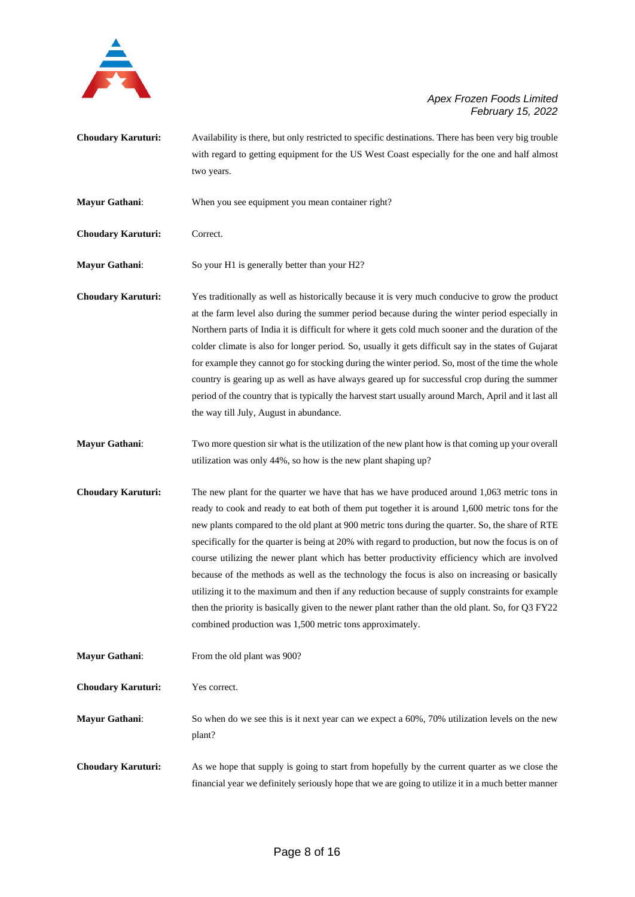

- **Choudary Karuturi:** Availability is there, but only restricted to specific destinations. There has been very big trouble with regard to getting equipment for the US West Coast especially for the one and half almost two years.
- **Mayur Gathani**: When you see equipment you mean container right?
- **Choudary Karuturi:** Correct.

**Mayur Gathani:** So your H1 is generally better than your H2?

- **Choudary Karuturi:** Yes traditionally as well as historically because it is very much conducive to grow the product at the farm level also during the summer period because during the winter period especially in Northern parts of India it is difficult for where it gets cold much sooner and the duration of the colder climate is also for longer period. So, usually it gets difficult say in the states of Gujarat for example they cannot go for stocking during the winter period. So, most of the time the whole country is gearing up as well as have always geared up for successful crop during the summer period of the country that is typically the harvest start usually around March, April and it last all the way till July, August in abundance.
- **Mayur Gathani**: Two more question sir what is the utilization of the new plant how is that coming up your overall utilization was only 44%, so how is the new plant shaping up?
- **Choudary Karuturi:** The new plant for the quarter we have that has we have produced around 1,063 metric tons in ready to cook and ready to eat both of them put together it is around 1,600 metric tons for the new plants compared to the old plant at 900 metric tons during the quarter. So, the share of RTE specifically for the quarter is being at 20% with regard to production, but now the focus is on of course utilizing the newer plant which has better productivity efficiency which are involved because of the methods as well as the technology the focus is also on increasing or basically utilizing it to the maximum and then if any reduction because of supply constraints for example then the priority is basically given to the newer plant rather than the old plant. So, for Q3 FY22 combined production was 1,500 metric tons approximately.

**Mayur Gathani:** From the old plant was 900?

**Choudary Karuturi:** Yes correct.

**Mayur Gathani**: So when do we see this is it next year can we expect a 60%, 70% utilization levels on the new plant?

**Choudary Karuturi:** As we hope that supply is going to start from hopefully by the current quarter as we close the financial year we definitely seriously hope that we are going to utilize it in a much better manner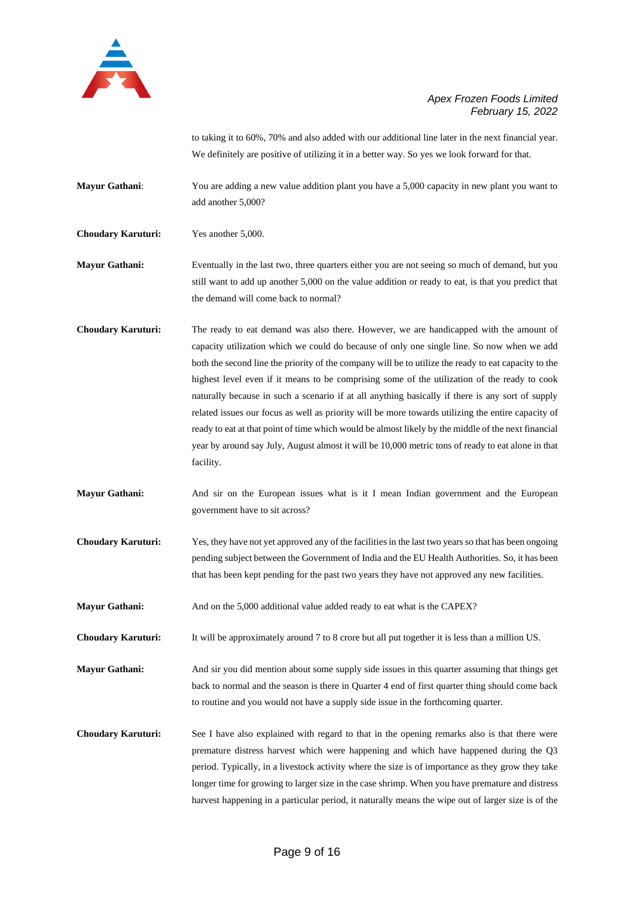

to taking it to 60%, 70% and also added with our additional line later in the next financial year. We definitely are positive of utilizing it in a better way. So yes we look forward for that.

**Mayur Gathani:** You are adding a new value addition plant you have a 5,000 capacity in new plant you want to add another 5,000?

**Choudary Karuturi:** Yes another 5,000.

**Mayur Gathani:** Eventually in the last two, three quarters either you are not seeing so much of demand, but you still want to add up another 5,000 on the value addition or ready to eat, is that you predict that the demand will come back to normal?

- **Choudary Karuturi:** The ready to eat demand was also there. However, we are handicapped with the amount of capacity utilization which we could do because of only one single line. So now when we add both the second line the priority of the company will be to utilize the ready to eat capacity to the highest level even if it means to be comprising some of the utilization of the ready to cook naturally because in such a scenario if at all anything basically if there is any sort of supply related issues our focus as well as priority will be more towards utilizing the entire capacity of ready to eat at that point of time which would be almost likely by the middle of the next financial year by around say July, August almost it will be 10,000 metric tons of ready to eat alone in that facility.
- **Mayur Gathani:** And sir on the European issues what is it I mean Indian government and the European government have to sit across?
- **Choudary Karuturi:** Yes, they have not yet approved any of the facilities in the last two years so that has been ongoing pending subject between the Government of India and the EU Health Authorities. So, it has been that has been kept pending for the past two years they have not approved any new facilities.
- **Mayur Gathani:** And on the 5,000 additional value added ready to eat what is the CAPEX?

**Choudary Karuturi:** It will be approximately around 7 to 8 crore but all put together it is less than a million US.

**Mayur Gathani:** And sir you did mention about some supply side issues in this quarter assuming that things get back to normal and the season is there in Quarter 4 end of first quarter thing should come back to routine and you would not have a supply side issue in the forthcoming quarter.

**Choudary Karuturi:** See I have also explained with regard to that in the opening remarks also is that there were premature distress harvest which were happening and which have happened during the Q3 period. Typically, in a livestock activity where the size is of importance as they grow they take longer time for growing to larger size in the case shrimp. When you have premature and distress harvest happening in a particular period, it naturally means the wipe out of larger size is of the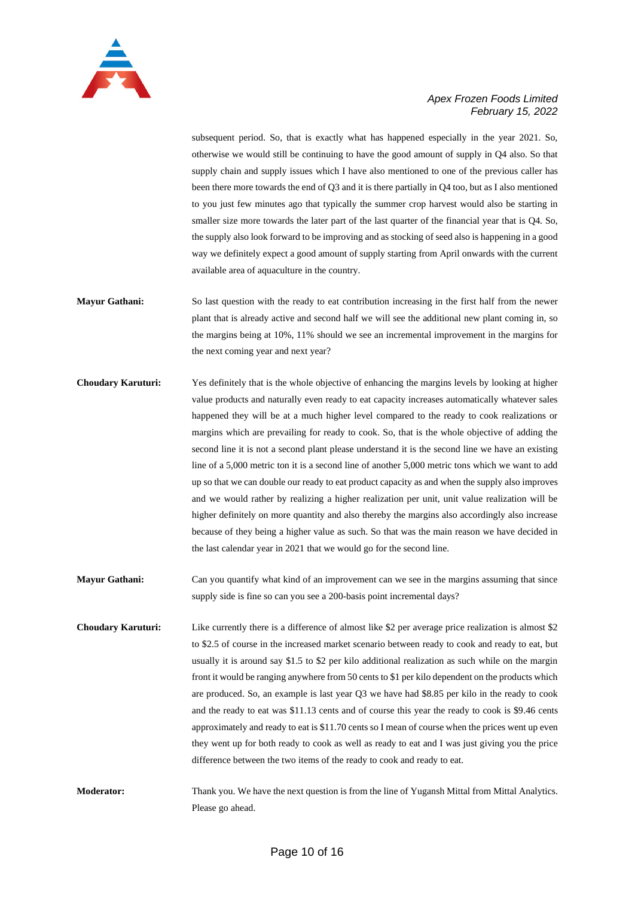

subsequent period. So, that is exactly what has happened especially in the year 2021. So, otherwise we would still be continuing to have the good amount of supply in Q4 also. So that supply chain and supply issues which I have also mentioned to one of the previous caller has been there more towards the end of Q3 and it is there partially in Q4 too, but as I also mentioned to you just few minutes ago that typically the summer crop harvest would also be starting in smaller size more towards the later part of the last quarter of the financial year that is Q4. So, the supply also look forward to be improving and as stocking of seed also is happening in a good way we definitely expect a good amount of supply starting from April onwards with the current available area of aquaculture in the country.

- **Mayur Gathani:** So last question with the ready to eat contribution increasing in the first half from the newer plant that is already active and second half we will see the additional new plant coming in, so the margins being at 10%, 11% should we see an incremental improvement in the margins for the next coming year and next year?
- **Choudary Karuturi:** Yes definitely that is the whole objective of enhancing the margins levels by looking at higher value products and naturally even ready to eat capacity increases automatically whatever sales happened they will be at a much higher level compared to the ready to cook realizations or margins which are prevailing for ready to cook. So, that is the whole objective of adding the second line it is not a second plant please understand it is the second line we have an existing line of a 5,000 metric ton it is a second line of another 5,000 metric tons which we want to add up so that we can double our ready to eat product capacity as and when the supply also improves and we would rather by realizing a higher realization per unit, unit value realization will be higher definitely on more quantity and also thereby the margins also accordingly also increase because of they being a higher value as such. So that was the main reason we have decided in the last calendar year in 2021 that we would go for the second line.
- **Mayur Gathani:** Can you quantify what kind of an improvement can we see in the margins assuming that since supply side is fine so can you see a 200-basis point incremental days?
- **Choudary Karuturi:** Like currently there is a difference of almost like \$2 per average price realization is almost \$2 to \$2.5 of course in the increased market scenario between ready to cook and ready to eat, but usually it is around say \$1.5 to \$2 per kilo additional realization as such while on the margin front it would be ranging anywhere from 50 cents to \$1 per kilo dependent on the products which are produced. So, an example is last year Q3 we have had \$8.85 per kilo in the ready to cook and the ready to eat was \$11.13 cents and of course this year the ready to cook is \$9.46 cents approximately and ready to eat is \$11.70 cents so I mean of course when the prices went up even they went up for both ready to cook as well as ready to eat and I was just giving you the price difference between the two items of the ready to cook and ready to eat.
- **Moderator:** Thank you. We have the next question is from the line of Yugansh Mittal from Mittal Analytics. Please go ahead.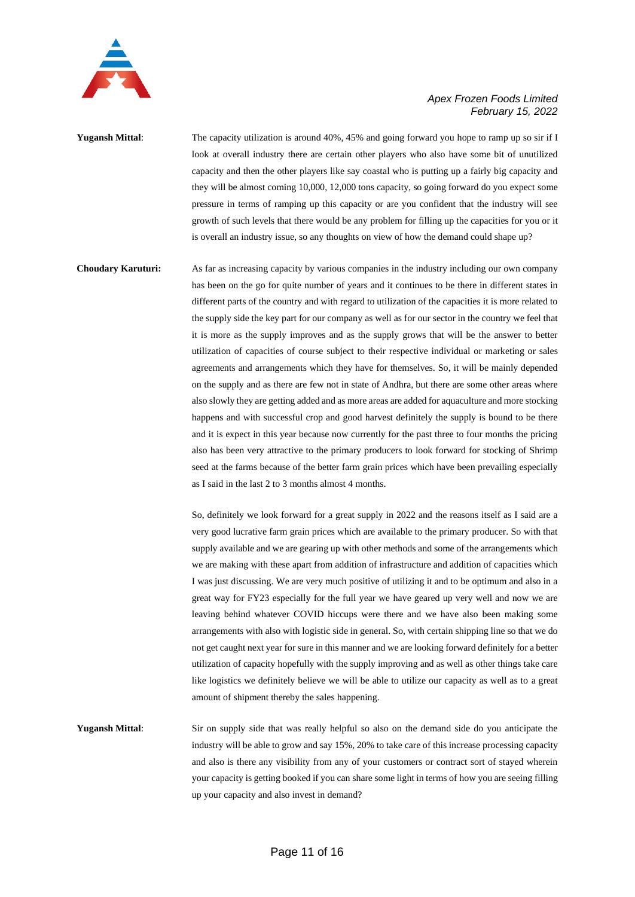

**Yugansh Mittal:** The capacity utilization is around 40%, 45% and going forward you hope to ramp up so sir if I look at overall industry there are certain other players who also have some bit of unutilized capacity and then the other players like say coastal who is putting up a fairly big capacity and they will be almost coming 10,000, 12,000 tons capacity, so going forward do you expect some pressure in terms of ramping up this capacity or are you confident that the industry will see growth of such levels that there would be any problem for filling up the capacities for you or it is overall an industry issue, so any thoughts on view of how the demand could shape up?

**Choudary Karuturi:** As far as increasing capacity by various companies in the industry including our own company has been on the go for quite number of years and it continues to be there in different states in different parts of the country and with regard to utilization of the capacities it is more related to the supply side the key part for our company as well as for our sector in the country we feel that it is more as the supply improves and as the supply grows that will be the answer to better utilization of capacities of course subject to their respective individual or marketing or sales agreements and arrangements which they have for themselves. So, it will be mainly depended on the supply and as there are few not in state of Andhra, but there are some other areas where also slowly they are getting added and as more areas are added for aquaculture and more stocking happens and with successful crop and good harvest definitely the supply is bound to be there and it is expect in this year because now currently for the past three to four months the pricing also has been very attractive to the primary producers to look forward for stocking of Shrimp seed at the farms because of the better farm grain prices which have been prevailing especially as I said in the last 2 to 3 months almost 4 months.

> So, definitely we look forward for a great supply in 2022 and the reasons itself as I said are a very good lucrative farm grain prices which are available to the primary producer. So with that supply available and we are gearing up with other methods and some of the arrangements which we are making with these apart from addition of infrastructure and addition of capacities which I was just discussing. We are very much positive of utilizing it and to be optimum and also in a great way for FY23 especially for the full year we have geared up very well and now we are leaving behind whatever COVID hiccups were there and we have also been making some arrangements with also with logistic side in general. So, with certain shipping line so that we do not get caught next year for sure in this manner and we are looking forward definitely for a better utilization of capacity hopefully with the supply improving and as well as other things take care like logistics we definitely believe we will be able to utilize our capacity as well as to a great amount of shipment thereby the sales happening.

**Yugansh Mittal**: Sir on supply side that was really helpful so also on the demand side do you anticipate the industry will be able to grow and say 15%, 20% to take care of this increase processing capacity and also is there any visibility from any of your customers or contract sort of stayed wherein your capacity is getting booked if you can share some light in terms of how you are seeing filling up your capacity and also invest in demand?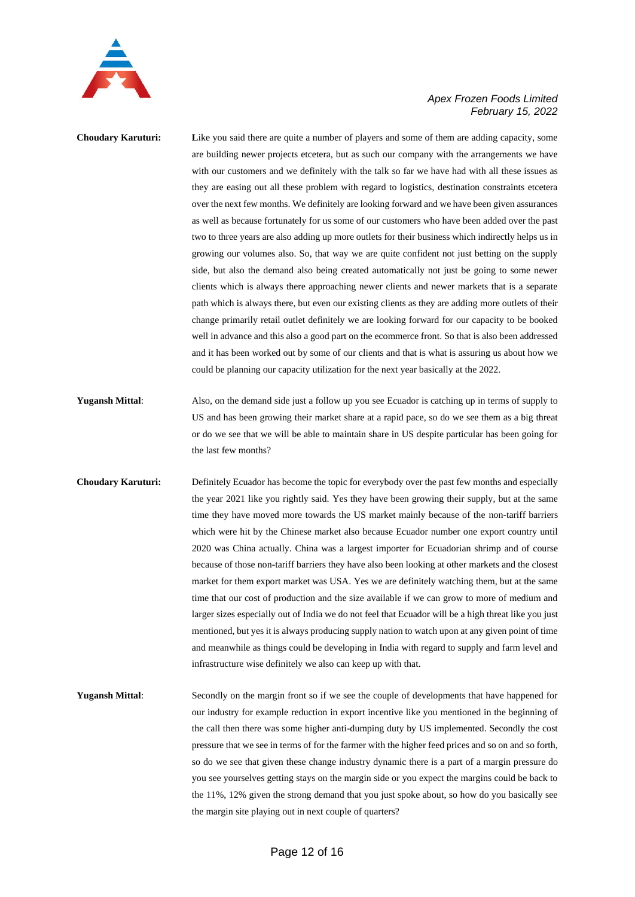

**Choudary Karuturi:** Like you said there are quite a number of players and some of them are adding capacity, some are building newer projects etcetera, but as such our company with the arrangements we have with our customers and we definitely with the talk so far we have had with all these issues as they are easing out all these problem with regard to logistics, destination constraints etcetera over the next few months. We definitely are looking forward and we have been given assurances as well as because fortunately for us some of our customers who have been added over the past two to three years are also adding up more outlets for their business which indirectly helps us in growing our volumes also. So, that way we are quite confident not just betting on the supply side, but also the demand also being created automatically not just be going to some newer clients which is always there approaching newer clients and newer markets that is a separate path which is always there, but even our existing clients as they are adding more outlets of their change primarily retail outlet definitely we are looking forward for our capacity to be booked well in advance and this also a good part on the ecommerce front. So that is also been addressed and it has been worked out by some of our clients and that is what is assuring us about how we could be planning our capacity utilization for the next year basically at the 2022.

- **Yugansh Mittal**: Also, on the demand side just a follow up you see Ecuador is catching up in terms of supply to US and has been growing their market share at a rapid pace, so do we see them as a big threat or do we see that we will be able to maintain share in US despite particular has been going for the last few months?
- **Choudary Karuturi:** Definitely Ecuador has become the topic for everybody over the past few months and especially the year 2021 like you rightly said. Yes they have been growing their supply, but at the same time they have moved more towards the US market mainly because of the non-tariff barriers which were hit by the Chinese market also because Ecuador number one export country until 2020 was China actually. China was a largest importer for Ecuadorian shrimp and of course because of those non-tariff barriers they have also been looking at other markets and the closest market for them export market was USA. Yes we are definitely watching them, but at the same time that our cost of production and the size available if we can grow to more of medium and larger sizes especially out of India we do not feel that Ecuador will be a high threat like you just mentioned, but yes it is always producing supply nation to watch upon at any given point of time and meanwhile as things could be developing in India with regard to supply and farm level and infrastructure wise definitely we also can keep up with that.
- **Yugansh Mittal**: Secondly on the margin front so if we see the couple of developments that have happened for our industry for example reduction in export incentive like you mentioned in the beginning of the call then there was some higher anti-dumping duty by US implemented. Secondly the cost pressure that we see in terms of for the farmer with the higher feed prices and so on and so forth, so do we see that given these change industry dynamic there is a part of a margin pressure do you see yourselves getting stays on the margin side or you expect the margins could be back to the 11%, 12% given the strong demand that you just spoke about, so how do you basically see the margin site playing out in next couple of quarters?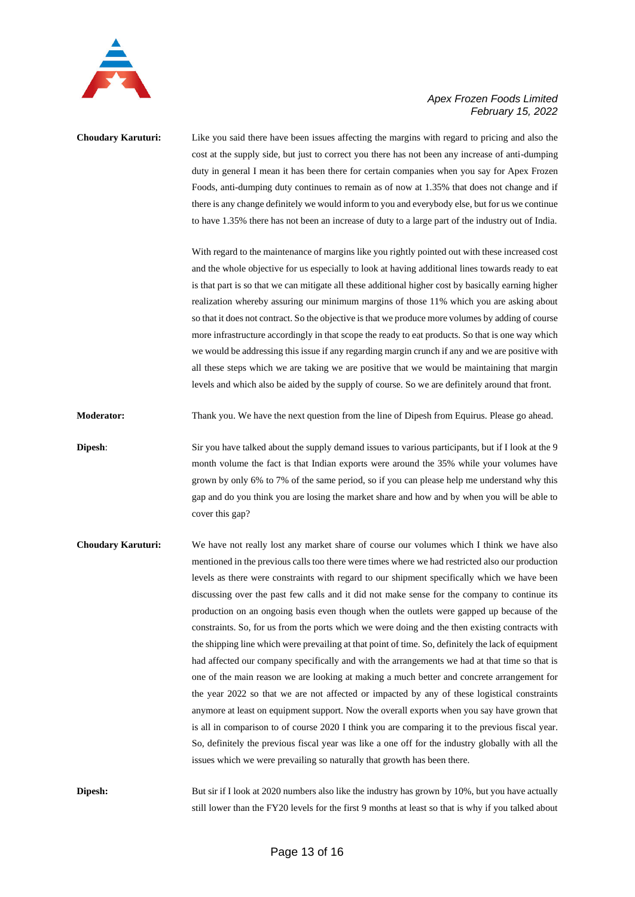

# **Choudary Karuturi:** Like you said there have been issues affecting the margins with regard to pricing and also the cost at the supply side, but just to correct you there has not been any increase of anti-dumping duty in general I mean it has been there for certain companies when you say for Apex Frozen Foods, anti-dumping duty continues to remain as of now at 1.35% that does not change and if there is any change definitely we would inform to you and everybody else, but for us we continue to have 1.35% there has not been an increase of duty to a large part of the industry out of India.

With regard to the maintenance of margins like you rightly pointed out with these increased cost and the whole objective for us especially to look at having additional lines towards ready to eat is that part is so that we can mitigate all these additional higher cost by basically earning higher realization whereby assuring our minimum margins of those 11% which you are asking about so that it does not contract. So the objective is that we produce more volumes by adding of course more infrastructure accordingly in that scope the ready to eat products. So that is one way which we would be addressing this issue if any regarding margin crunch if any and we are positive with all these steps which we are taking we are positive that we would be maintaining that margin levels and which also be aided by the supply of course. So we are definitely around that front.

**Moderator:** Thank you. We have the next question from the line of Dipesh from Equirus. Please go ahead.

**Dipesh:** Sir you have talked about the supply demand issues to various participants, but if I look at the 9 month volume the fact is that Indian exports were around the 35% while your volumes have grown by only 6% to 7% of the same period, so if you can please help me understand why this gap and do you think you are losing the market share and how and by when you will be able to cover this gap?

**Choudary Karuturi:** We have not really lost any market share of course our volumes which I think we have also mentioned in the previous calls too there were times where we had restricted also our production levels as there were constraints with regard to our shipment specifically which we have been discussing over the past few calls and it did not make sense for the company to continue its production on an ongoing basis even though when the outlets were gapped up because of the constraints. So, for us from the ports which we were doing and the then existing contracts with the shipping line which were prevailing at that point of time. So, definitely the lack of equipment had affected our company specifically and with the arrangements we had at that time so that is one of the main reason we are looking at making a much better and concrete arrangement for the year 2022 so that we are not affected or impacted by any of these logistical constraints anymore at least on equipment support. Now the overall exports when you say have grown that is all in comparison to of course 2020 I think you are comparing it to the previous fiscal year. So, definitely the previous fiscal year was like a one off for the industry globally with all the issues which we were prevailing so naturally that growth has been there.

**Dipesh:** But sir if I look at 2020 numbers also like the industry has grown by 10%, but you have actually still lower than the FY20 levels for the first 9 months at least so that is why if you talked about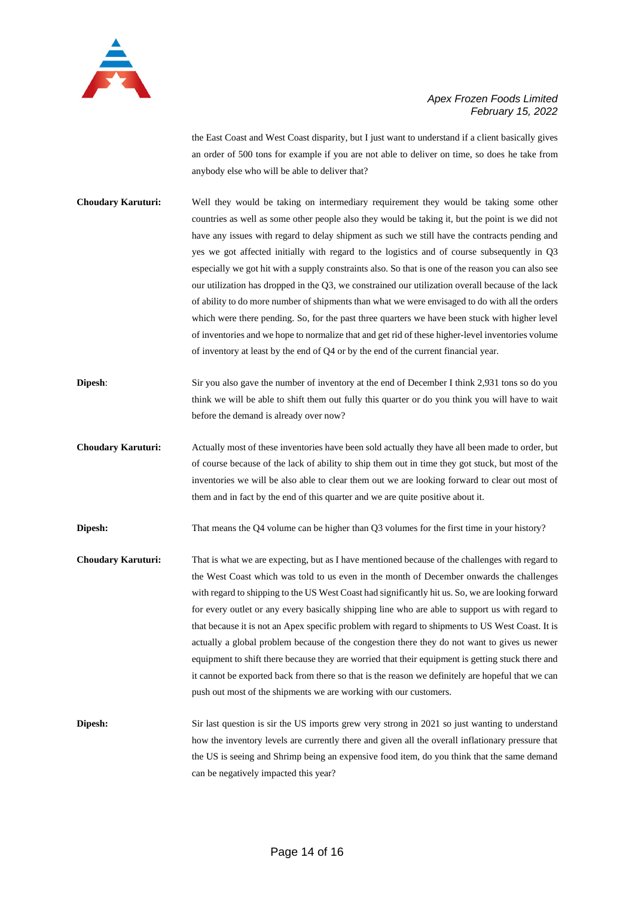

the East Coast and West Coast disparity, but I just want to understand if a client basically gives an order of 500 tons for example if you are not able to deliver on time, so does he take from anybody else who will be able to deliver that?

- **Choudary Karuturi:** Well they would be taking on intermediary requirement they would be taking some other countries as well as some other people also they would be taking it, but the point is we did not have any issues with regard to delay shipment as such we still have the contracts pending and yes we got affected initially with regard to the logistics and of course subsequently in Q3 especially we got hit with a supply constraints also. So that is one of the reason you can also see our utilization has dropped in the Q3, we constrained our utilization overall because of the lack of ability to do more number of shipments than what we were envisaged to do with all the orders which were there pending. So, for the past three quarters we have been stuck with higher level of inventories and we hope to normalize that and get rid of these higher-level inventories volume of inventory at least by the end of Q4 or by the end of the current financial year.
- **Dipesh:** Sir you also gave the number of inventory at the end of December I think 2,931 tons so do you think we will be able to shift them out fully this quarter or do you think you will have to wait before the demand is already over now?
- **Choudary Karuturi:** Actually most of these inventories have been sold actually they have all been made to order, but of course because of the lack of ability to ship them out in time they got stuck, but most of the inventories we will be also able to clear them out we are looking forward to clear out most of them and in fact by the end of this quarter and we are quite positive about it.

**Dipesh:** That means the Q4 volume can be higher than Q3 volumes for the first time in your history?

- **Choudary Karuturi:** That is what we are expecting, but as I have mentioned because of the challenges with regard to the West Coast which was told to us even in the month of December onwards the challenges with regard to shipping to the US West Coast had significantly hit us. So, we are looking forward for every outlet or any every basically shipping line who are able to support us with regard to that because it is not an Apex specific problem with regard to shipments to US West Coast. It is actually a global problem because of the congestion there they do not want to gives us newer equipment to shift there because they are worried that their equipment is getting stuck there and it cannot be exported back from there so that is the reason we definitely are hopeful that we can push out most of the shipments we are working with our customers.
- **Dipesh:** Sir last question is sir the US imports grew very strong in 2021 so just wanting to understand how the inventory levels are currently there and given all the overall inflationary pressure that the US is seeing and Shrimp being an expensive food item, do you think that the same demand can be negatively impacted this year?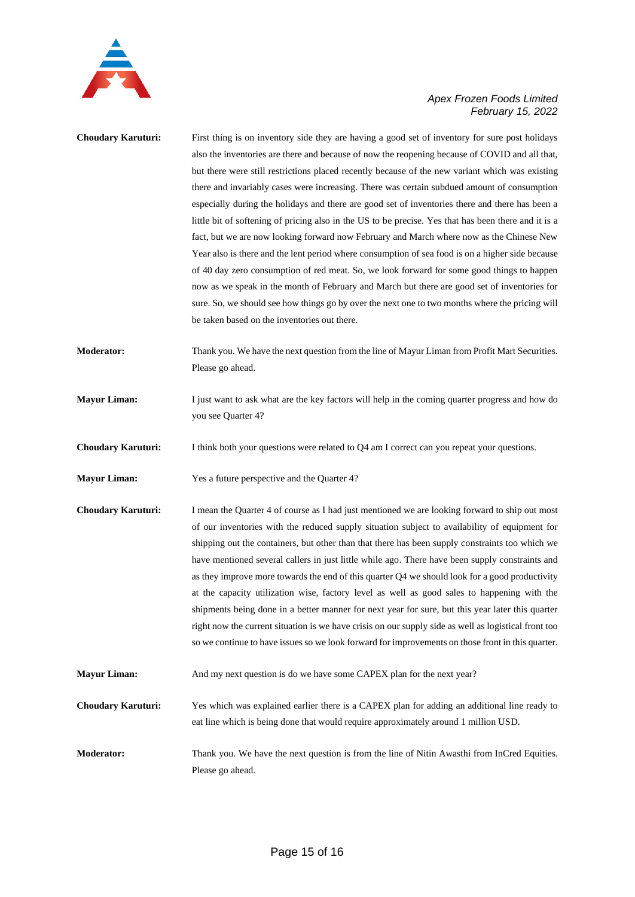

| <b>Choudary Karuturi:</b> | First thing is on inventory side they are having a good set of inventory for sure post holidays<br>also the inventories are there and because of now the reopening because of COVID and all that,<br>but there were still restrictions placed recently because of the new variant which was existing<br>there and invariably cases were increasing. There was certain subdued amount of consumption<br>especially during the holidays and there are good set of inventories there and there has been a<br>little bit of softening of pricing also in the US to be precise. Yes that has been there and it is a<br>fact, but we are now looking forward now February and March where now as the Chinese New<br>Year also is there and the lent period where consumption of sea food is on a higher side because<br>of 40 day zero consumption of red meat. So, we look forward for some good things to happen<br>now as we speak in the month of February and March but there are good set of inventories for<br>sure. So, we should see how things go by over the next one to two months where the pricing will<br>be taken based on the inventories out there. |
|---------------------------|-----------------------------------------------------------------------------------------------------------------------------------------------------------------------------------------------------------------------------------------------------------------------------------------------------------------------------------------------------------------------------------------------------------------------------------------------------------------------------------------------------------------------------------------------------------------------------------------------------------------------------------------------------------------------------------------------------------------------------------------------------------------------------------------------------------------------------------------------------------------------------------------------------------------------------------------------------------------------------------------------------------------------------------------------------------------------------------------------------------------------------------------------------------------|
| Moderator:                | Thank you. We have the next question from the line of Mayur Liman from Profit Mart Securities.<br>Please go ahead.                                                                                                                                                                                                                                                                                                                                                                                                                                                                                                                                                                                                                                                                                                                                                                                                                                                                                                                                                                                                                                              |
| <b>Mayur Liman:</b>       | I just want to ask what are the key factors will help in the coming quarter progress and how do<br>you see Quarter 4?                                                                                                                                                                                                                                                                                                                                                                                                                                                                                                                                                                                                                                                                                                                                                                                                                                                                                                                                                                                                                                           |
| <b>Choudary Karuturi:</b> | I think both your questions were related to Q4 am I correct can you repeat your questions.                                                                                                                                                                                                                                                                                                                                                                                                                                                                                                                                                                                                                                                                                                                                                                                                                                                                                                                                                                                                                                                                      |
| <b>Mayur Liman:</b>       | Yes a future perspective and the Quarter 4?                                                                                                                                                                                                                                                                                                                                                                                                                                                                                                                                                                                                                                                                                                                                                                                                                                                                                                                                                                                                                                                                                                                     |
| Choudary Karuturi:        | I mean the Quarter 4 of course as I had just mentioned we are looking forward to ship out most<br>of our inventories with the reduced supply situation subject to availability of equipment for<br>shipping out the containers, but other than that there has been supply constraints too which we<br>have mentioned several callers in just little while ago. There have been supply constraints and<br>as they improve more towards the end of this quarter Q4 we should look for a good productivity<br>at the capacity utilization wise, factory level as well as good sales to happening with the<br>shipments being done in a better manner for next year for sure, but this year later this quarter<br>right now the current situation is we have crisis on our supply side as well as logistical front too<br>so we continue to have issues so we look forward for improvements on those front in this quarter.                                                                                                                                                                                                                                         |
| <b>Mayur Liman:</b>       | And my next question is do we have some CAPEX plan for the next year?                                                                                                                                                                                                                                                                                                                                                                                                                                                                                                                                                                                                                                                                                                                                                                                                                                                                                                                                                                                                                                                                                           |
| <b>Choudary Karuturi:</b> | Yes which was explained earlier there is a CAPEX plan for adding an additional line ready to<br>eat line which is being done that would require approximately around 1 million USD.                                                                                                                                                                                                                                                                                                                                                                                                                                                                                                                                                                                                                                                                                                                                                                                                                                                                                                                                                                             |
| Moderator:                | Thank you. We have the next question is from the line of Nitin Awasthi from InCred Equities.<br>Please go ahead.                                                                                                                                                                                                                                                                                                                                                                                                                                                                                                                                                                                                                                                                                                                                                                                                                                                                                                                                                                                                                                                |